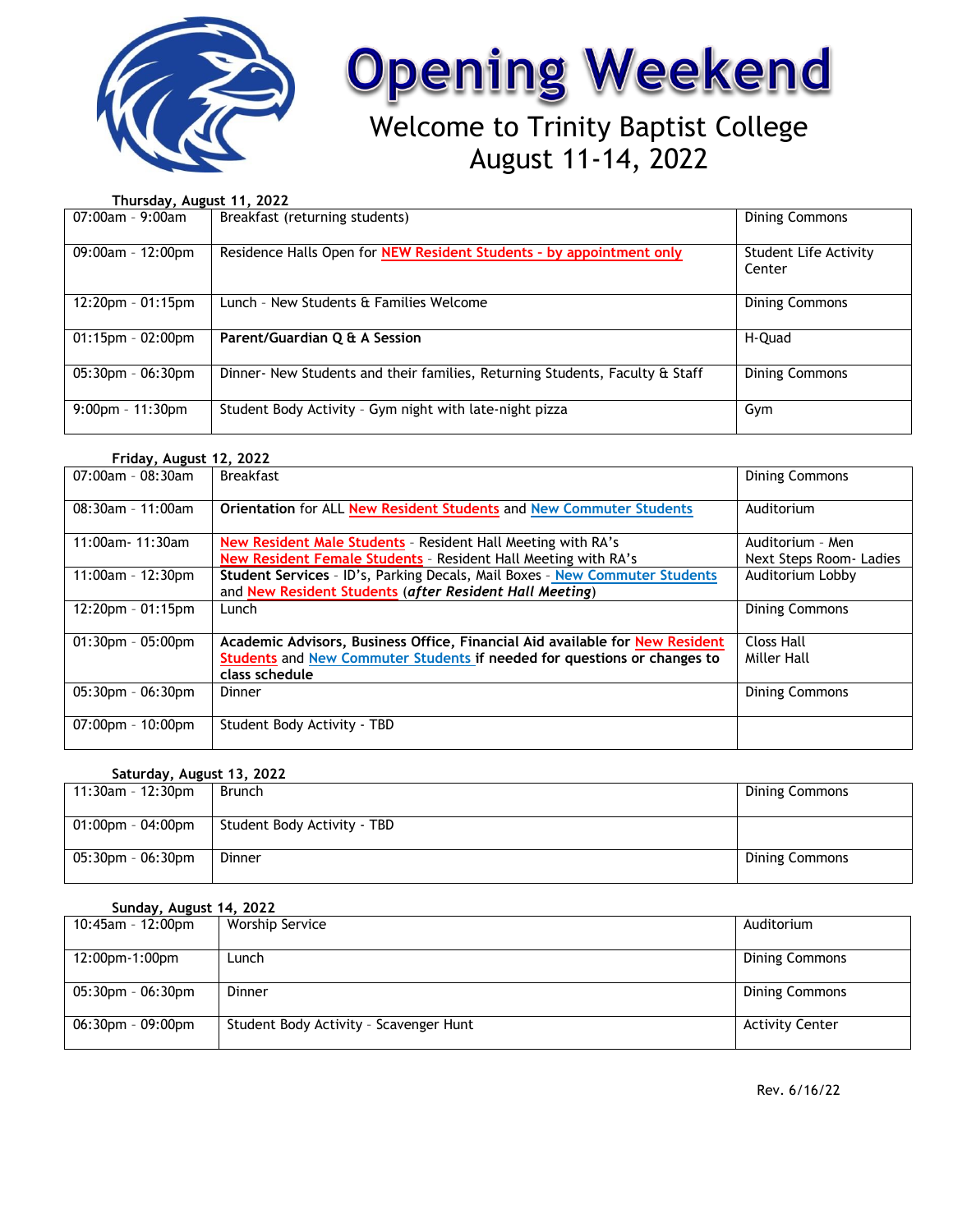

# **Opening Weekend**

# Welcome to Trinity Baptist College August 11-14, 2022

**Thursday, August 11, 2022**

| 07:00am - 9:00am     | Breakfast (returning students)                                               | <b>Dining Commons</b>           |
|----------------------|------------------------------------------------------------------------------|---------------------------------|
| $09:00am - 12:00pm$  | Residence Halls Open for NEW Resident Students - by appointment only         | Student Life Activity<br>Center |
| $12:20$ pm - 01:15pm | Lunch - New Students & Families Welcome                                      | <b>Dining Commons</b>           |
| $01:15$ pm - 02:00pm | Parent/Guardian Q & A Session                                                | H-Quad                          |
| $05:30$ pm - 06:30pm | Dinner- New Students and their families, Returning Students, Faculty & Staff | <b>Dining Commons</b>           |
| $9:00$ pm - 11:30pm  | Student Body Activity - Gym night with late-night pizza                      | Gym                             |

## **Friday, August 12, 2022**

| $07:00$ am - 08:30am | <b>Breakfast</b>                                                             | <b>Dining Commons</b>  |
|----------------------|------------------------------------------------------------------------------|------------------------|
| $08:30$ am - 11:00am | Orientation for ALL New Resident Students and New Commuter Students          | Auditorium             |
| 11:00am- 11:30am     | New Resident Male Students - Resident Hall Meeting with RA's                 | Auditorium - Men       |
|                      | New Resident Female Students - Resident Hall Meeting with RA's               | Next Steps Room-Ladies |
| $11:00$ am - 12:30pm | Student Services - ID's, Parking Decals, Mail Boxes - New Commuter Students  | Auditorium Lobby       |
|                      | and New Resident Students (after Resident Hall Meeting)                      |                        |
| $12:20$ pm - 01:15pm | Lunch                                                                        | <b>Dining Commons</b>  |
|                      |                                                                              |                        |
| $01:30$ pm - 05:00pm | Academic Advisors, Business Office, Financial Aid available for New Resident | <b>Closs Hall</b>      |
|                      | Students and New Commuter Students if needed for questions or changes to     | Miller Hall            |
|                      | class schedule                                                               |                        |
| $05:30$ pm - 06:30pm | Dinner                                                                       | <b>Dining Commons</b>  |
|                      |                                                                              |                        |
| 07:00pm - 10:00pm    | Student Body Activity - TBD                                                  |                        |
|                      |                                                                              |                        |

## **Saturday, August 13, 2022**

| 11:30am - 12:30pm | Brunch                      | <b>Dining Commons</b> |
|-------------------|-----------------------------|-----------------------|
| 01:00pm - 04:00pm | Student Body Activity - TBD |                       |
| 05:30pm - 06:30pm | Dinner                      | Dining Commons        |

### **Sunday, August 14, 2022**

| $10:45$ am - 12:00pm    | Worship Service                        | Auditorium             |
|-------------------------|----------------------------------------|------------------------|
| 12:00pm-1:00pm          | Lunch                                  | Dining Commons         |
| $05:30$ pm - $06:30$ pm | Dinner                                 | <b>Dining Commons</b>  |
| $06:30$ pm - 09:00pm    | Student Body Activity - Scavenger Hunt | <b>Activity Center</b> |